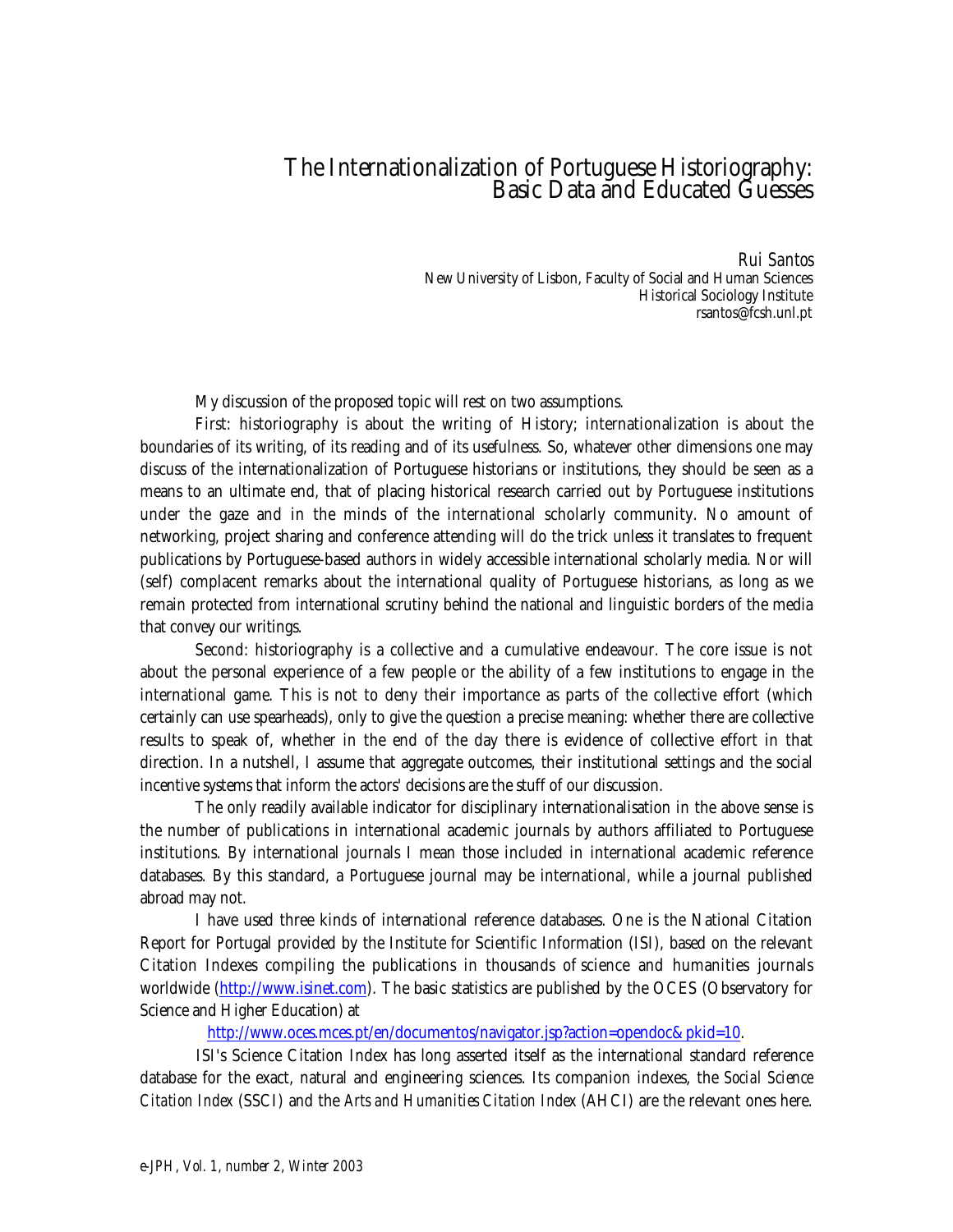## The Internationalization of Portuguese Historiography: Basic Data and Educated Guesses

*Rui Santos* New University of Lisbon, Faculty of Social and Human Sciences Historical Sociology Institute rsantos@fcsh.unl.pt

My discussion of the proposed topic will rest on two assumptions.

First: historiography is about the writing of History; internationalization is about the boundaries of its writing, of its reading and of its usefulness. So, whatever other dimensions one may discuss of the internationalization of Portuguese historians or institutions, they should be seen as a means to an ultimate end, that of placing historical research carried out by Portuguese institutions under the gaze and in the minds of the international scholarly community. No amount of networking, project sharing and conference attending will do the trick unless it translates to frequent publications by Portuguese-based authors in widely accessible international scholarly media. Nor will (self) complacent remarks about the international quality of Portuguese historians, as long as we remain protected from international scrutiny behind the national and linguistic borders of the media that convey our writings.

Second: historiography is a collective and a cumulative endeavour. The core issue is not about the personal experience of a few people or the ability of a few institutions to engage in the international game. This is not to deny their importance as parts of the collective effort (which certainly can use spearheads), only to give the question a precise meaning: whether there are collective results to speak of, whether in the end of the day there is evidence of collective effort in that direction. In a nutshell, I assume that aggregate outcomes, their institutional settings and the social incentive systems that inform the actors' decisions are the stuff of our discussion.

The only readily available indicator for disciplinary internationalisation in the above sense is the number of publications in international academic journals by authors affiliated to Portuguese institutions. By international journals I mean those included in international academic reference databases. By this standard, a Portuguese journal may be international, while a journal published abroad may not.

I have used three kinds of international reference databases. One is the National Citation Report for Portugal provided by the Institute for Scientific Information (ISI), based on the relevant Citation Indexes compiling the publications in thousands of science and humanities journals worldwide (http://www.isinet.com). The basic statistics are published by the OCES (Observatory for Science and Higher Education) at

http://www.oces.mces.pt/en/documentos/navigator.jsp?action=opendoc&pkid=10.

ISI's Science Citation Index has long asserted itself as the international standard reference database for the exact, natural and engineering sciences. Its companion indexes, the *Social Science Citation Index* (SSCI) and the *Arts and Humanities Citation Index* (AHCI) are the relevant ones here.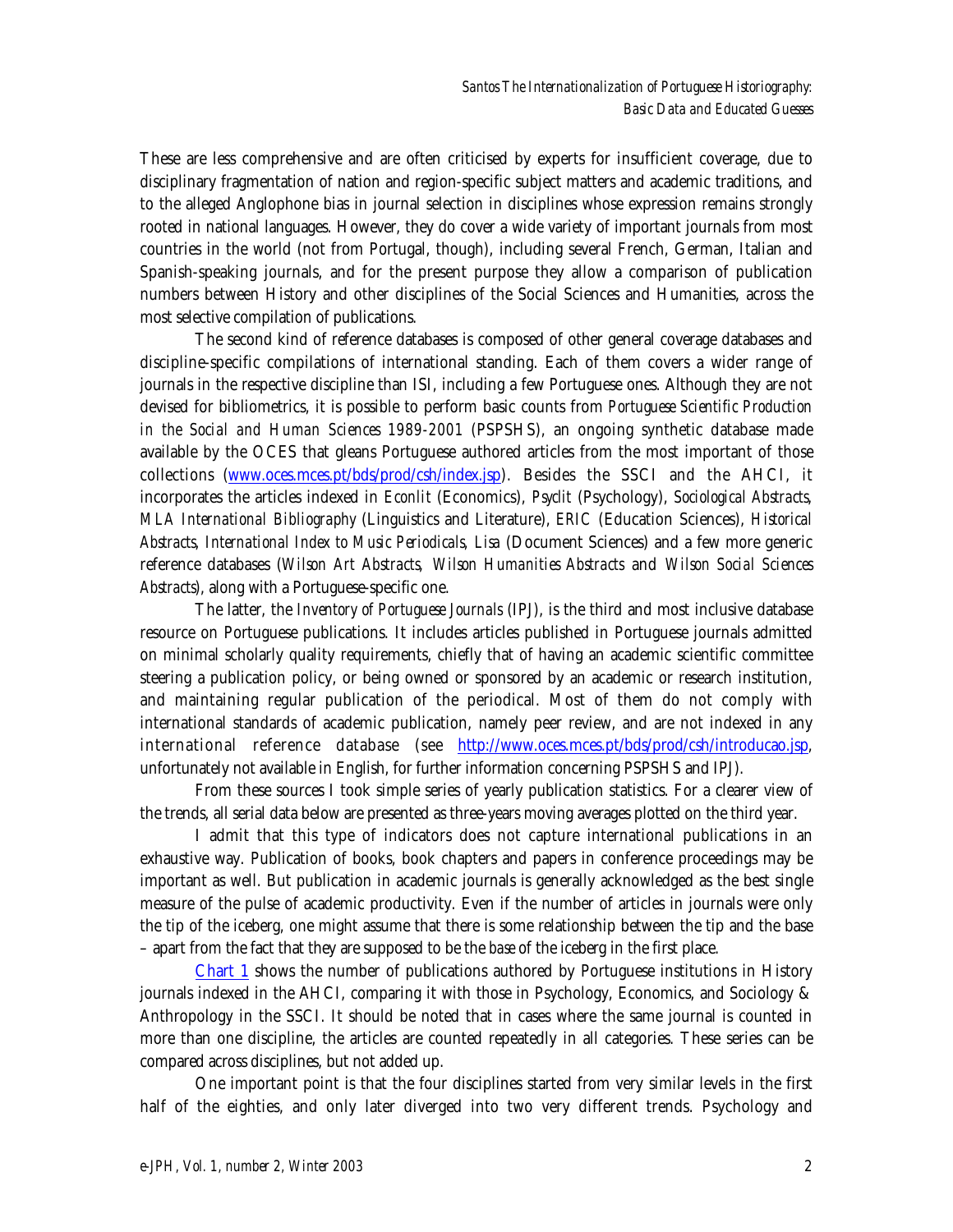These are less comprehensive and are often criticised by experts for insufficient coverage, due to disciplinary fragmentation of nation and region-specific subject matters and academic traditions, and to the alleged Anglophone bias in journal selection in disciplines whose expression remains strongly rooted in national languages. However, they do cover a wide variety of important journals from most countries in the world (not from Portugal, though), including several French, German, Italian and Spanish-speaking journals, and for the present purpose they allow a comparison of publication numbers between History and other disciplines of the Social Sciences and Humanities, across the most selective compilation of publications.

The second kind of reference databases is composed of other general coverage databases and discipline-specific compilations of international standing. Each of them covers a wider range of journals in the respective discipline than ISI, including a few Portuguese ones. Although they are not devised for bibliometrics, it is possible to perform basic counts from *Portuguese Scientific Production in the Social and Human Sciences 1989-2001* (PSPSHS), an ongoing synthetic database made available by the OCES that gleans Portuguese authored articles from the most important of those collections (www.oces.mces.pt/bds/prod/csh/index.jsp). Besides the SSCI and the AHCI, it incorporates the articles indexed in *Econlit* (Economics), *Psyclit* (Psychology), *Sociological Abstracts*, *MLA International Bibliography* (Linguistics and Literature), *ERIC* (Education Sciences), *Historical Abstracts*, *International Index to Music Periodicals*, *Lisa* (Document Sciences) and a few more generic reference databases (*Wilson Art Abstracts*, *Wilson Humanities Abstracts* and *Wilson Social Sciences Abstracts*), along with a Portuguese-specific one.

The latter, the *Inventory of Portuguese Journals* (IPJ), is the third and most inclusive database resource on Portuguese publications. It includes articles published in Portuguese journals admitted on minimal scholarly quality requirements, chiefly that of having an academic scientific committee steering a publication policy, or being owned or sponsored by an academic or research institution, and maintaining regular publication of the periodical. Most of them do not comply with international standards of academic publication, namely peer review, and are not indexed in any international reference database (see http://www.oces.mces.pt/bds/prod/csh/introducao.jsp, unfortunately not available in English, for further information concerning PSPSHS and IPJ).

From these sources I took simple series of yearly publication statistics. For a clearer view of the trends, all serial data below are presented as three-years moving averages plotted on the third year.

I admit that this type of indicators does not capture international publications in an exhaustive way. Publication of books, book chapters and papers in conference proceedings may be important as well. But publication in academic journals is generally acknowledged as the best single measure of the pulse of academic productivity. Even if the number of articles in journals were only the tip of the iceberg, one might assume that there is some relationship between the tip and the base – apart from the fact that they are supposed to be the *base* of the iceberg in the first place.

Chart 1 shows the number of publications authored by Portuguese institutions in History journals indexed in the AHCI, comparing it with those in Psychology, Economics, and Sociology & Anthropology in the SSCI. It should be noted that in cases where the same journal is counted in more than one discipline, the articles are counted repeatedly in all categories. These series can be compared across disciplines, but not added up.

One important point is that the four disciplines started from very similar levels in the first half of the eighties, and only later diverged into two very different trends. Psychology and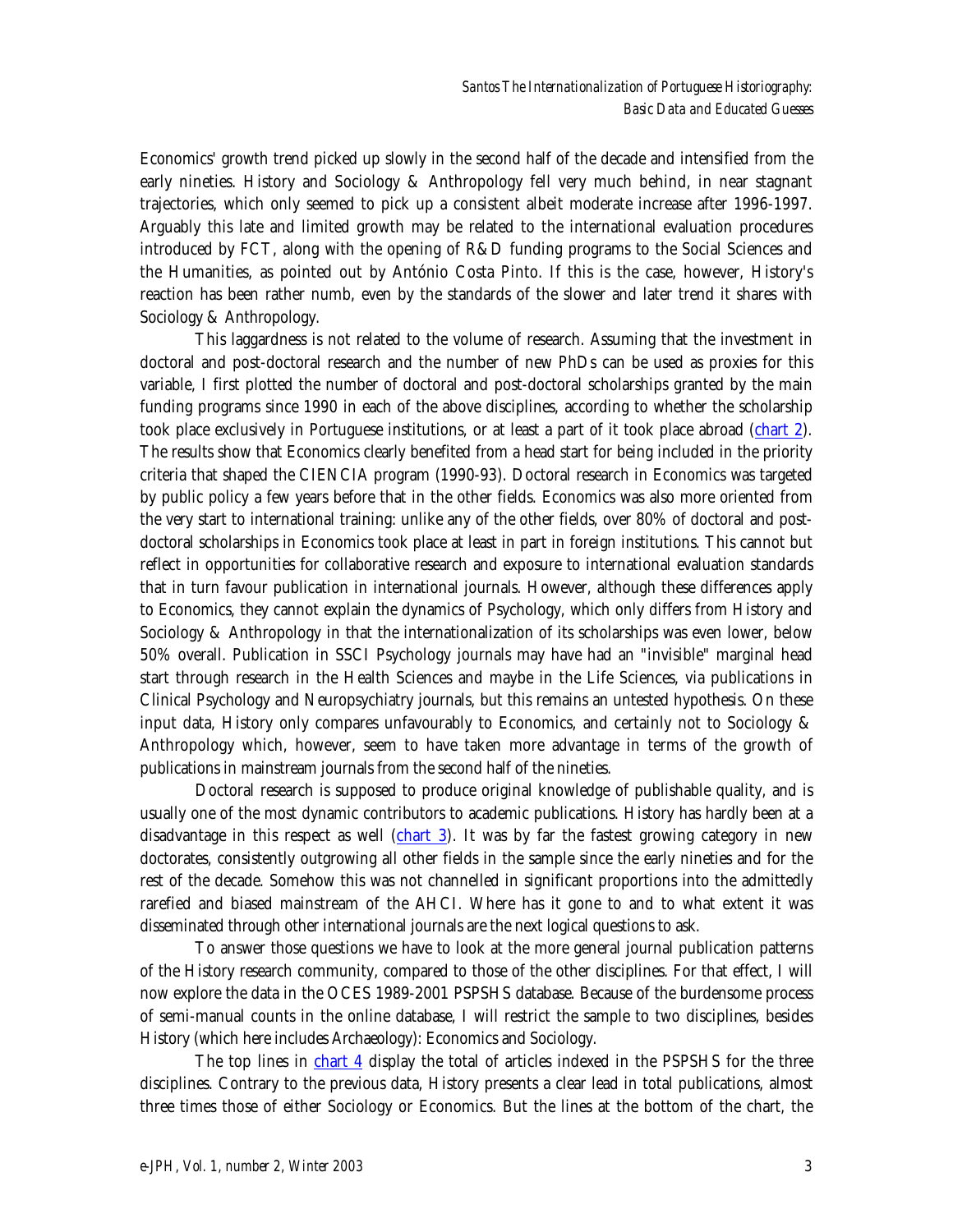Economics' growth trend picked up slowly in the second half of the decade and intensified from the early nineties. History and Sociology & Anthropology fell very much behind, in near stagnant trajectories, which only seemed to pick up a consistent albeit moderate increase after 1996-1997. Arguably this late and limited growth may be related to the international evaluation procedures introduced by FCT, along with the opening of R&D funding programs to the Social Sciences and the Humanities, as pointed out by António Costa Pinto. If this is the case, however, History's reaction has been rather numb, even by the standards of the slower and later trend it shares with Sociology & Anthropology.

This laggardness is not related to the volume of research. Assuming that the investment in doctoral and post-doctoral research and the number of new PhDs can be used as proxies for this variable, I first plotted the number of doctoral and post-doctoral scholarships granted by the main funding programs since 1990 in each of the above disciplines, according to whether the scholarship took place exclusively in Portuguese institutions, or at least a part of it took place abroad (chart 2). The results show that Economics clearly benefited from a head start for being included in the priority criteria that shaped the CIENCIA program (1990-93). Doctoral research in Economics was targeted by public policy a few years before that in the other fields. Economics was also more oriented from the very start to international training: unlike any of the other fields, over 80% of doctoral and postdoctoral scholarships in Economics took place at least in part in foreign institutions. This cannot but reflect in opportunities for collaborative research and exposure to international evaluation standards that in turn favour publication in international journals. However, although these differences apply to Economics, they cannot explain the dynamics of Psychology, which only differs from History and Sociology & Anthropology in that the internationalization of its scholarships was even lower, below 50% overall. Publication in SSCI Psychology journals may have had an "invisible" marginal head start through research in the Health Sciences and maybe in the Life Sciences, via publications in Clinical Psychology and Neuropsychiatry journals, but this remains an untested hypothesis. On these input data, History only compares unfavourably to Economics, and certainly not to Sociology  $\&$ Anthropology which, however, seem to have taken more advantage in terms of the growth of publications in mainstream journals from the second half of the nineties.

Doctoral research is supposed to produce original knowledge of publishable quality, and is usually one of the most dynamic contributors to academic publications. History has hardly been at a disadvantage in this respect as well (chart 3). It was by far the fastest growing category in new doctorates, consistently outgrowing all other fields in the sample since the early nineties and for the rest of the decade. Somehow this was not channelled in significant proportions into the admittedly rarefied and biased mainstream of the AHCI. Where has it gone to and to what extent it was disseminated through other international journals are the next logical questions to ask.

To answer those questions we have to look at the more general journal publication patterns of the History research community, compared to those of the other disciplines. For that effect, I will now explore the data in the OCES 1989-2001 PSPSHS database. Because of the burdensome process of semi-manual counts in the online database, I will restrict the sample to two disciplines, besides History (which here includes Archaeology): Economics and Sociology.

The top lines in chart 4 display the total of articles indexed in the PSPSHS for the three disciplines. Contrary to the previous data, History presents a clear lead in total publications, almost three times those of either Sociology or Economics. But the lines at the bottom of the chart, the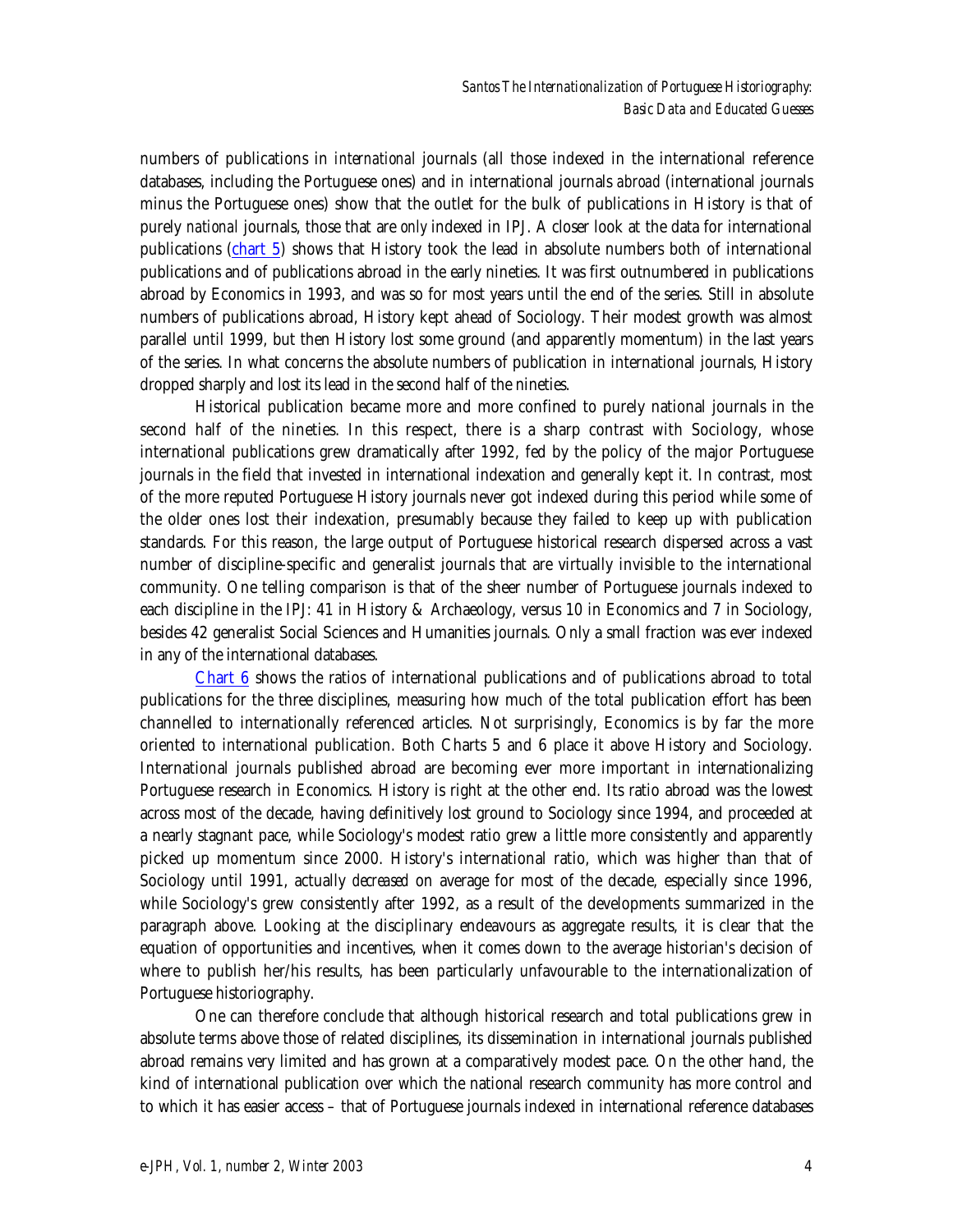numbers of publications in *international* journals (all those indexed in the international reference databases, including the Portuguese ones) and in international journals *abroad* (international journals minus the Portuguese ones) show that the outlet for the bulk of publications in History is that of purely *national* journals, those that are *only* indexed in IPJ. A closer look at the data for international publications (chart 5) shows that History took the lead in absolute numbers both of international publications and of publications abroad in the early nineties. It was first outnumbered in publications abroad by Economics in 1993, and was so for most years until the end of the series. Still in absolute numbers of publications abroad, History kept ahead of Sociology. Their modest growth was almost parallel until 1999, but then History lost some ground (and apparently momentum) in the last years of the series. In what concerns the absolute numbers of publication in international journals, History dropped sharply and lost its lead in the second half of the nineties.

Historical publication became more and more confined to purely national journals in the second half of the nineties. In this respect, there is a sharp contrast with Sociology, whose international publications grew dramatically after 1992, fed by the policy of the major Portuguese journals in the field that invested in international indexation and generally kept it. In contrast, most of the more reputed Portuguese History journals never got indexed during this period while some of the older ones lost their indexation, presumably because they failed to keep up with publication standards. For this reason, the large output of Portuguese historical research dispersed across a vast number of discipline-specific and generalist journals that are virtually invisible to the international community. One telling comparison is that of the sheer number of Portuguese journals indexed to each discipline in the IPJ: 41 in History & Archaeology, versus 10 in Economics and 7 in Sociology, besides 42 generalist Social Sciences and Humanities journals. Only a small fraction was ever indexed in any of the international databases.

Chart 6 shows the ratios of international publications and of publications abroad to total publications for the three disciplines, measuring how much of the total publication effort has been channelled to internationally referenced articles. Not surprisingly, Economics is by far the more oriented to international publication. Both Charts 5 and 6 place it above History and Sociology. International journals published abroad are becoming ever more important in internationalizing Portuguese research in Economics. History is right at the other end. Its ratio abroad was the lowest across most of the decade, having definitively lost ground to Sociology since 1994, and proceeded at a nearly stagnant pace, while Sociology's modest ratio grew a little more consistently and apparently picked up momentum since 2000. History's international ratio, which was higher than that of Sociology until 1991, actually *decreased* on average for most of the decade, especially since 1996, while Sociology's grew consistently after 1992, as a result of the developments summarized in the paragraph above. Looking at the disciplinary endeavours as aggregate results, it is clear that the equation of opportunities and incentives, when it comes down to the average historian's decision of where to publish her/his results, has been particularly unfavourable to the internationalization of Portuguese historiography.

One can therefore conclude that although historical research and total publications grew in absolute terms above those of related disciplines, its dissemination in international journals published abroad remains very limited and has grown at a comparatively modest pace. On the other hand, the kind of international publication over which the national research community has more control and to which it has easier access – that of Portuguese journals indexed in international reference databases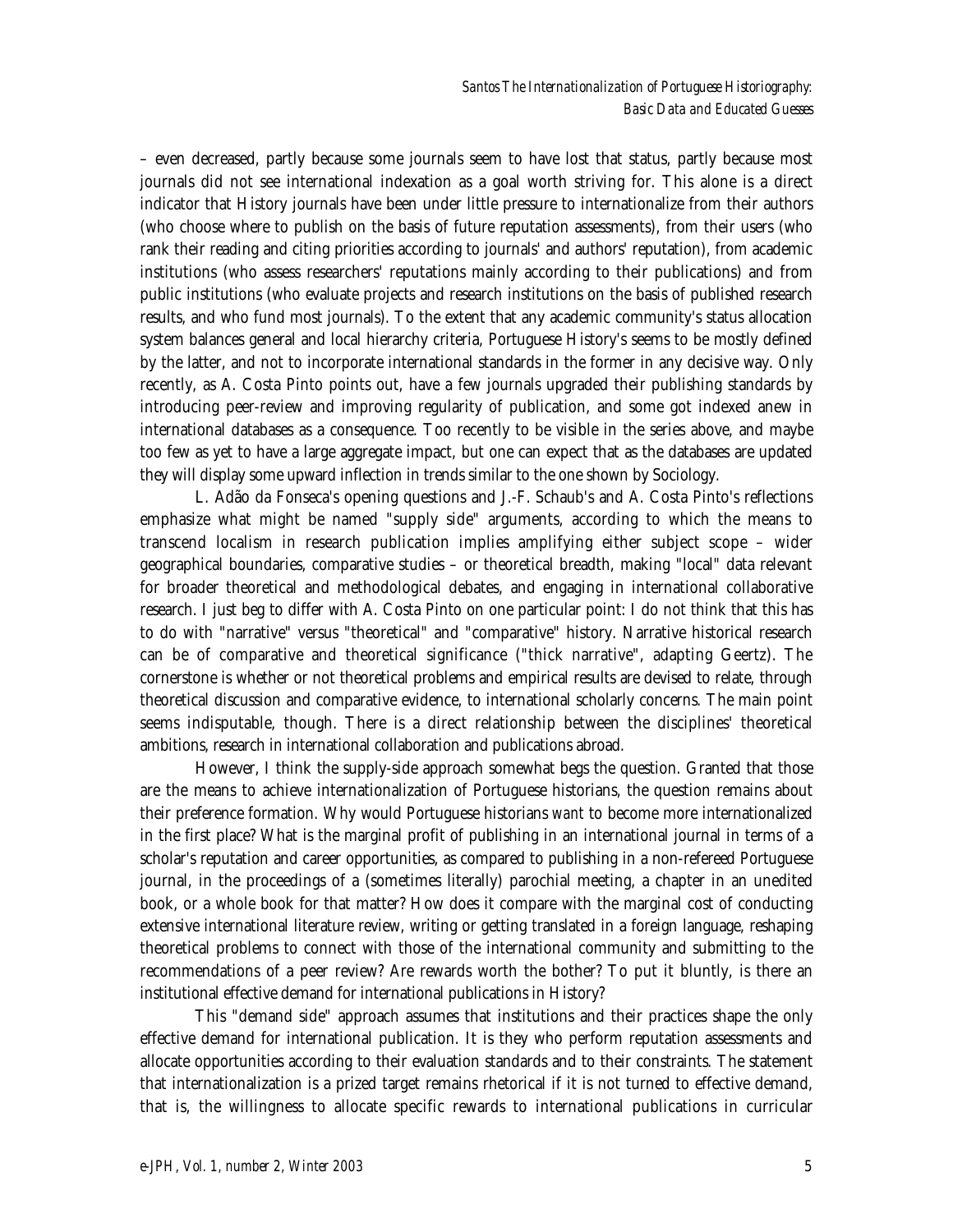– even decreased, partly because some journals seem to have lost that status, partly because most journals did not see international indexation as a goal worth striving for. This alone is a direct indicator that History journals have been under little pressure to internationalize from their authors (who choose where to publish on the basis of future reputation assessments), from their users (who rank their reading and citing priorities according to journals' and authors' reputation), from academic institutions (who assess researchers' reputations mainly according to their publications) and from public institutions (who evaluate projects and research institutions on the basis of published research results, and who fund most journals). To the extent that any academic community's status allocation system balances general and local hierarchy criteria, Portuguese History's seems to be mostly defined by the latter, and not to incorporate international standards in the former in any decisive way. Only recently, as A. Costa Pinto points out, have a few journals upgraded their publishing standards by introducing peer-review and improving regularity of publication, and some got indexed anew in international databases as a consequence. Too recently to be visible in the series above, and maybe too few as yet to have a large aggregate impact, but one can expect that as the databases are updated they will display some upward inflection in trends similar to the one shown by Sociology.

L. Adão da Fonseca's opening questions and J.-F. Schaub's and A. Costa Pinto's reflections emphasize what might be named "supply side" arguments, according to which the means to transcend localism in research publication implies amplifying either subject scope – wider geographical boundaries, comparative studies – or theoretical breadth, making "local" data relevant for broader theoretical and methodological debates, and engaging in international collaborative research. I just beg to differ with A. Costa Pinto on one particular point: I do not think that this has to do with "narrative" versus "theoretical" and "comparative" history. Narrative historical research can be of comparative and theoretical significance ("thick narrative", adapting Geertz). The cornerstone is whether or not theoretical problems and empirical results are devised to relate, through theoretical discussion and comparative evidence, to international scholarly concerns. The main point seems indisputable, though. There is a direct relationship between the disciplines' theoretical ambitions, research in international collaboration and publications abroad.

However, I think the supply-side approach somewhat begs the question. Granted that those are the means to achieve internationalization of Portuguese historians, the question remains about their preference formation. Why would Portuguese historians *want* to become more internationalized in the first place? What is the marginal profit of publishing in an international journal in terms of a scholar's reputation and career opportunities, as compared to publishing in a non-refereed Portuguese journal, in the proceedings of a (sometimes literally) parochial meeting, a chapter in an unedited book, or a whole book for that matter? How does it compare with the marginal cost of conducting extensive international literature review, writing or getting translated in a foreign language, reshaping theoretical problems to connect with those of the international community and submitting to the recommendations of a peer review? Are rewards worth the bother? To put it bluntly, is there an institutional effective demand for international publications in History?

This "demand side" approach assumes that institutions and their practices shape the only effective demand for international publication. It is they who perform reputation assessments and allocate opportunities according to their evaluation standards and to their constraints. The statement that internationalization is a prized target remains rhetorical if it is not turned to effective demand, that is, the willingness to allocate specific rewards to international publications in curricular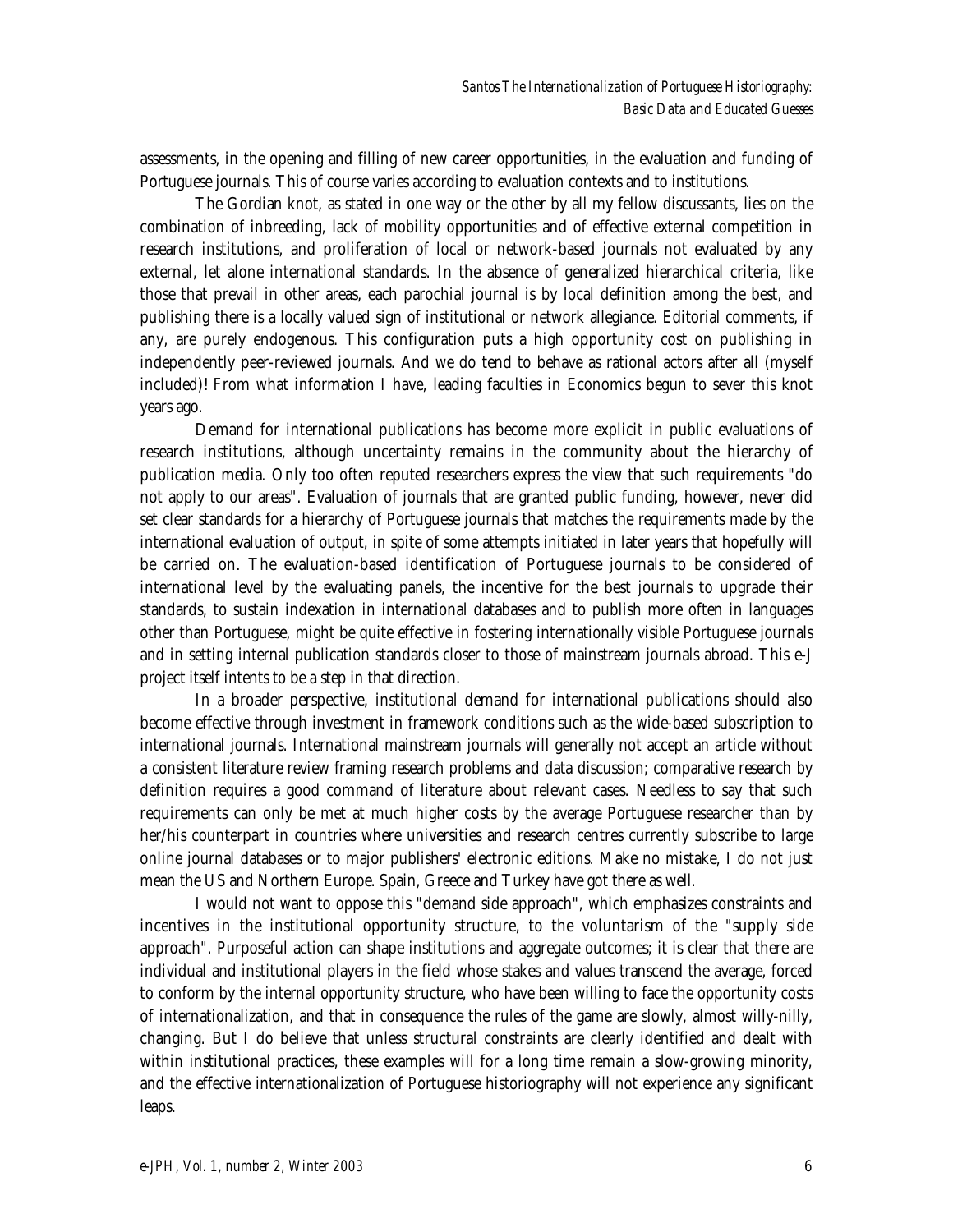assessments, in the opening and filling of new career opportunities, in the evaluation and funding of Portuguese journals. This of course varies according to evaluation contexts and to institutions.

The Gordian knot, as stated in one way or the other by all my fellow discussants, lies on the combination of inbreeding, lack of mobility opportunities and of effective external competition in research institutions, and proliferation of local or network-based journals not evaluated by any external, let alone international standards. In the absence of generalized hierarchical criteria, like those that prevail in other areas, each parochial journal is by local definition among the best, and publishing there is a locally valued sign of institutional or network allegiance. Editorial comments, if any, are purely endogenous. This configuration puts a high opportunity cost on publishing in independently peer-reviewed journals. And we do tend to behave as rational actors after all (myself included)! From what information I have, leading faculties in Economics begun to sever this knot years ago.

Demand for international publications has become more explicit in public evaluations of research institutions, although uncertainty remains in the community about the hierarchy of publication media. Only too often reputed researchers express the view that such requirements "do not apply to our areas". Evaluation of journals that are granted public funding, however, never did set clear standards for a hierarchy of Portuguese journals that matches the requirements made by the international evaluation of output, in spite of some attempts initiated in later years that hopefully will be carried on. The evaluation-based identification of Portuguese journals to be considered of international level by the evaluating panels, the incentive for the best journals to upgrade their standards, to sustain indexation in international databases and to publish more often in languages other than Portuguese, might be quite effective in fostering internationally visible Portuguese journals and in setting internal publication standards closer to those of mainstream journals abroad. This e-J project itself intents to be a step in that direction.

In a broader perspective, institutional demand for international publications should also become effective through investment in framework conditions such as the wide-based subscription to international journals. International mainstream journals will generally not accept an article without a consistent literature review framing research problems and data discussion; comparative research by definition requires a good command of literature about relevant cases. Needless to say that such requirements can only be met at much higher costs by the average Portuguese researcher than by her/his counterpart in countries where universities and research centres currently subscribe to large online journal databases or to major publishers' electronic editions. Make no mistake, I do not just mean the US and Northern Europe. Spain, Greece and Turkey have got there as well.

I would not want to oppose this "demand side approach", which emphasizes constraints and incentives in the institutional opportunity structure, to the voluntarism of the "supply side approach". Purposeful action can shape institutions and aggregate outcomes; it is clear that there are individual and institutional players in the field whose stakes and values transcend the average, forced to conform by the internal opportunity structure, who have been willing to face the opportunity costs of internationalization, and that in consequence the rules of the game are slowly, almost willy-nilly, changing. But I do believe that unless structural constraints are clearly identified and dealt with within institutional practices, these examples will for a long time remain a slow-growing minority, and the effective internationalization of Portuguese historiography will not experience any significant leaps.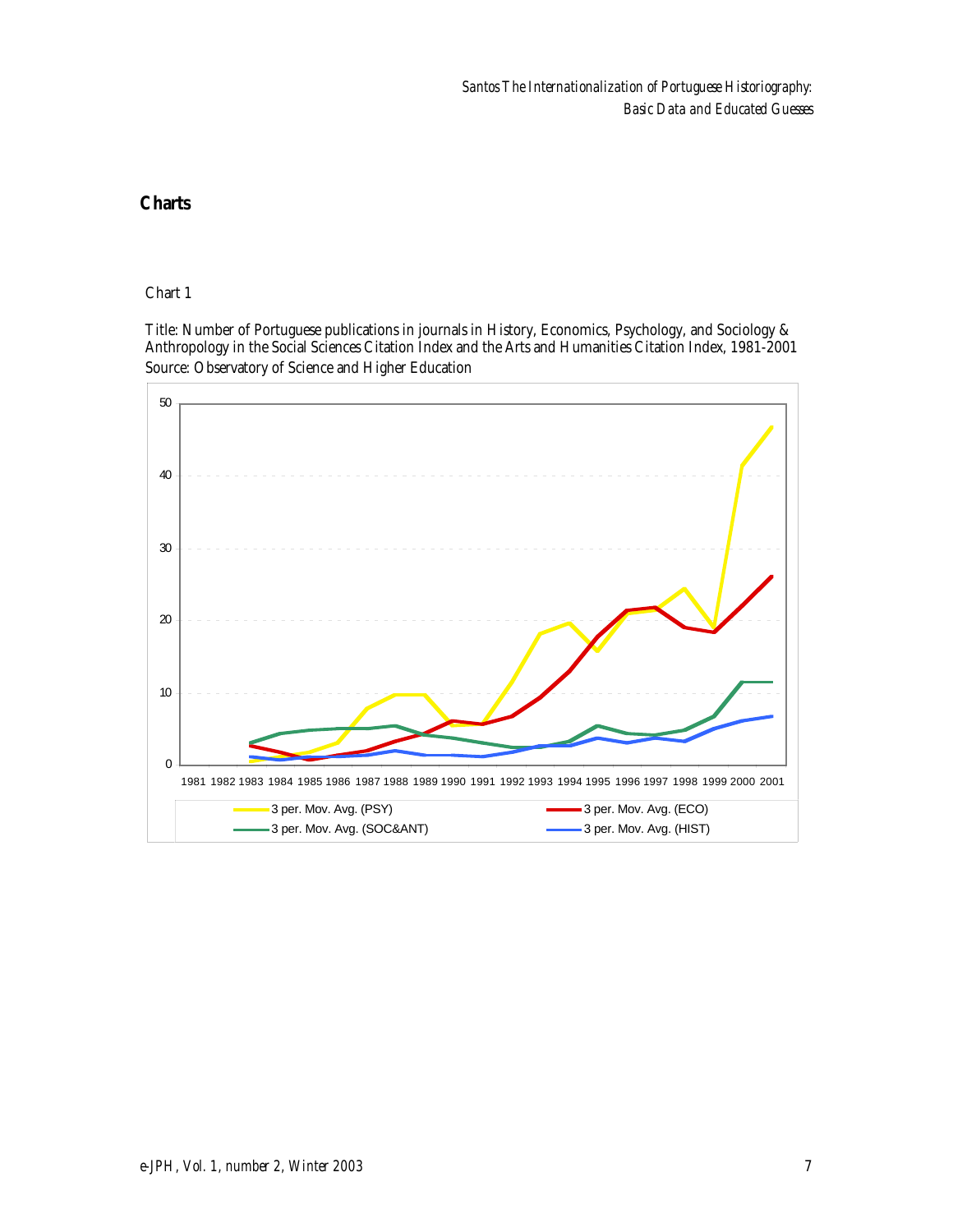Chart 1

Source: Observatory of Science and Higher Education Title: Number of Portuguese publications in journals in History, Economics, Psychology, and Sociology & Anthropology in the Social Sciences Citation Index and the Arts and Humanities Citation Index, 1981-2001

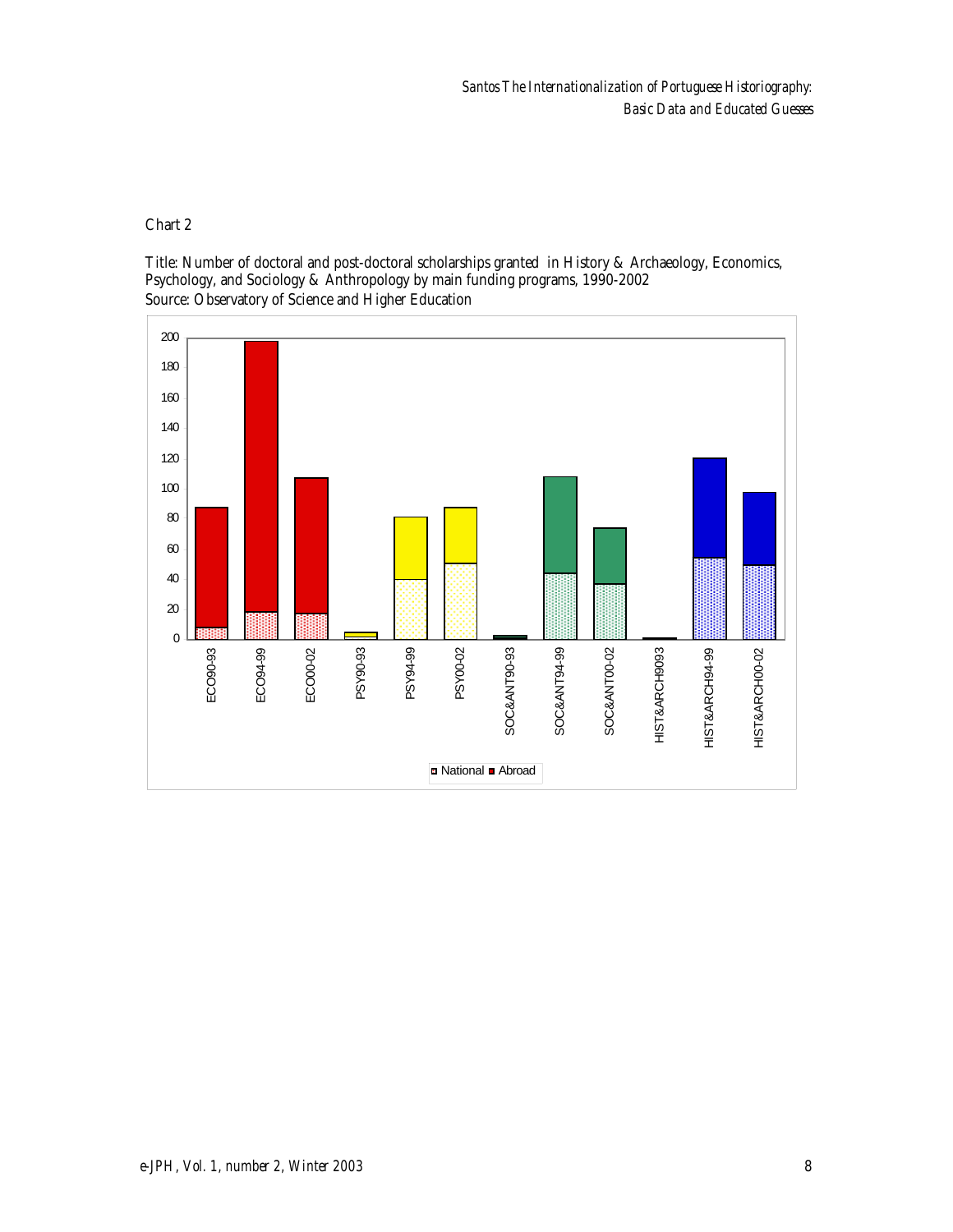Source: Observatory of Science and Higher Education Title: Number of doctoral and post-doctoral scholarships granted in History & Archaeology, Economics, Psychology, and Sociology & Anthropology by main funding programs, 1990-2002

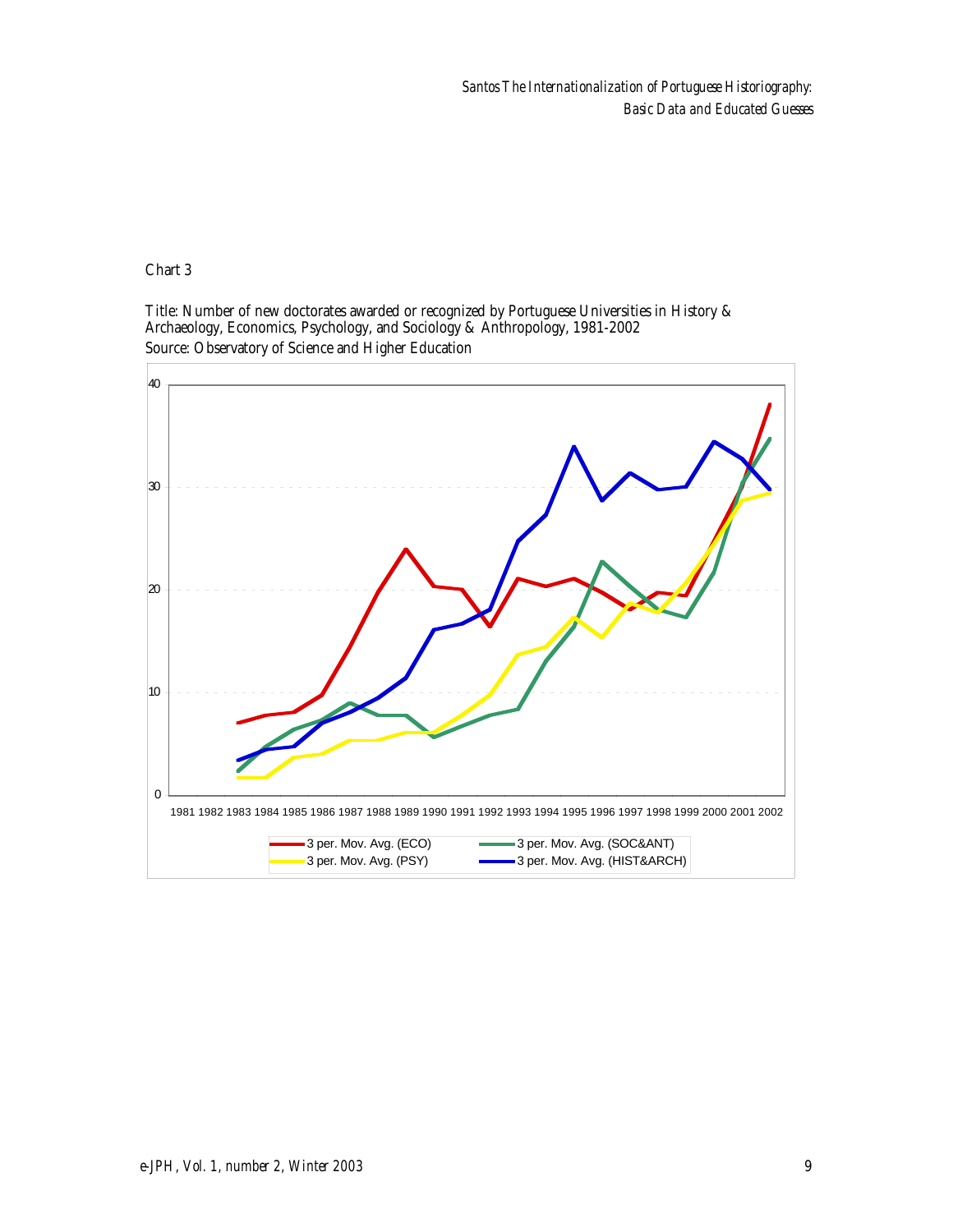*Santos The Internationalization of Portuguese Historiography: Basic Data and Educated Guesses*

Chart 3

Source: Observatory of Science and Higher Education Title: Number of new doctorates awarded or recognized by Portuguese Universities in History & Archaeology, Economics, Psychology, and Sociology & Anthropology, 1981-2002

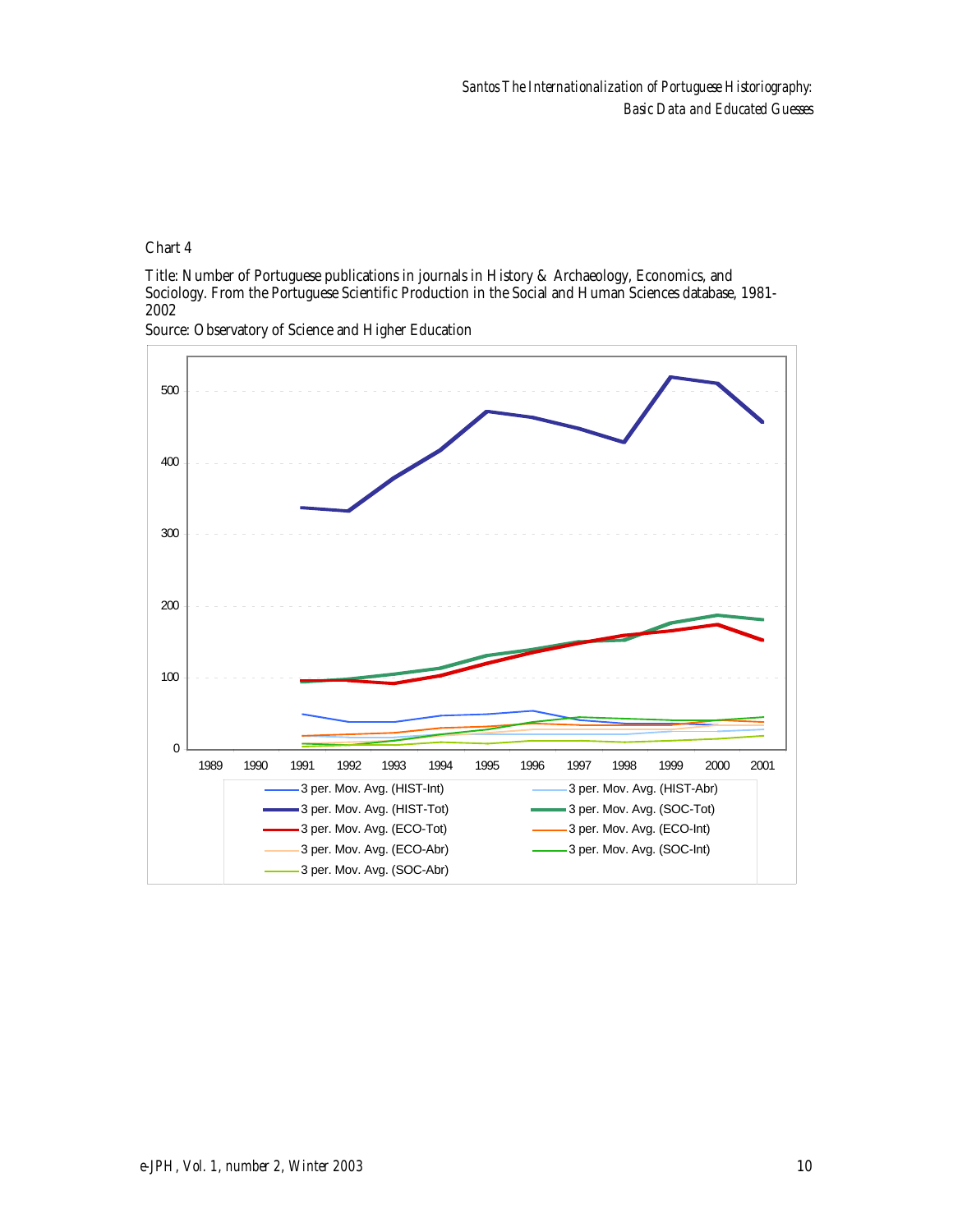Title: Number of Portuguese publications in journals in History & Archaeology, Economics, and Sociology. From the Portuguese Scientific Production in the Social and Human Sciences database, 1981- 2002



Source: Observatory of Science and Higher Education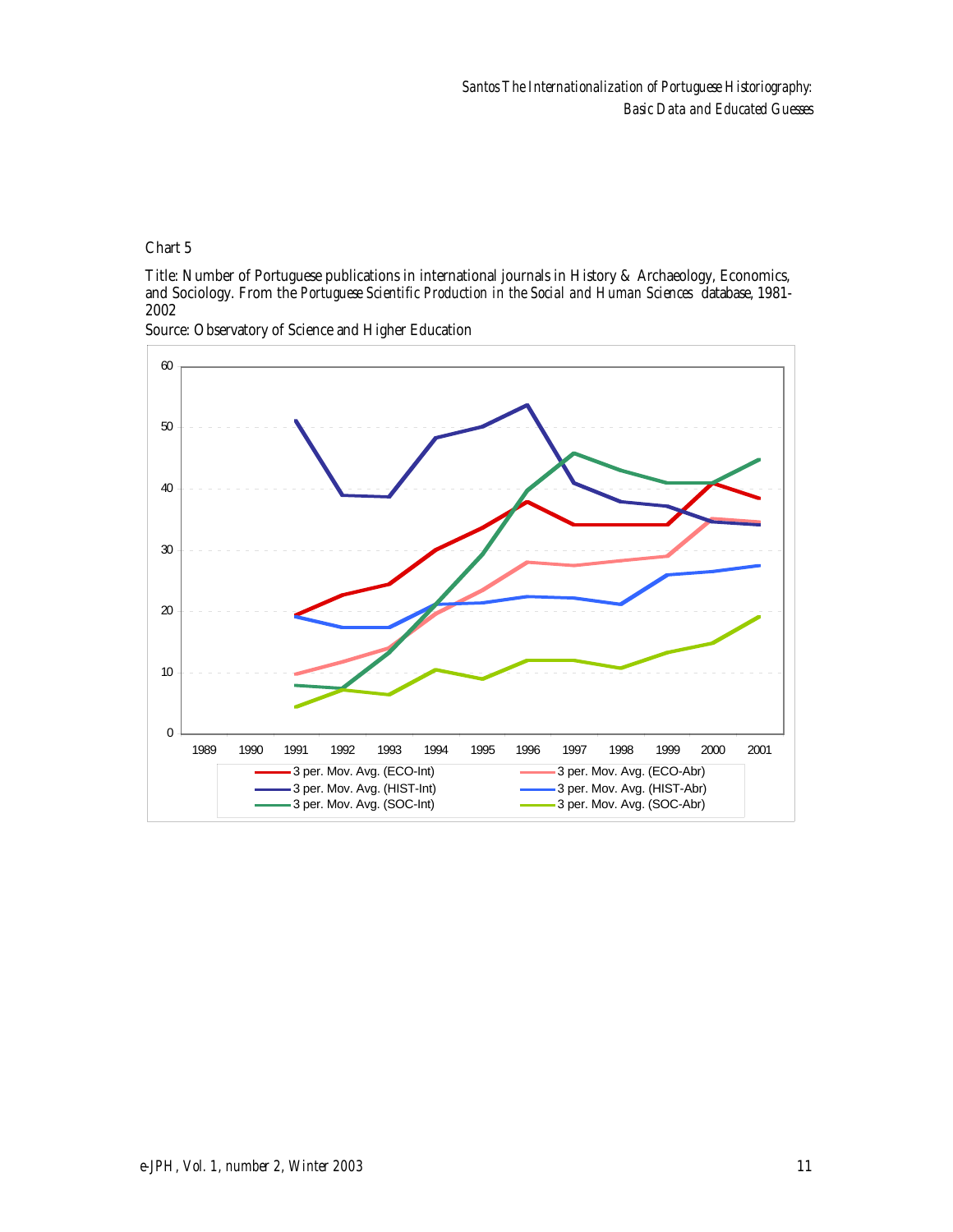Title: Number of Portuguese publications in international journals in History & Archaeology, Economics, and Sociology. From the *Portuguese Scientific Production in the Social and Human Sciences* database, 1981- 2002



Source: Observatory of Science and Higher Education